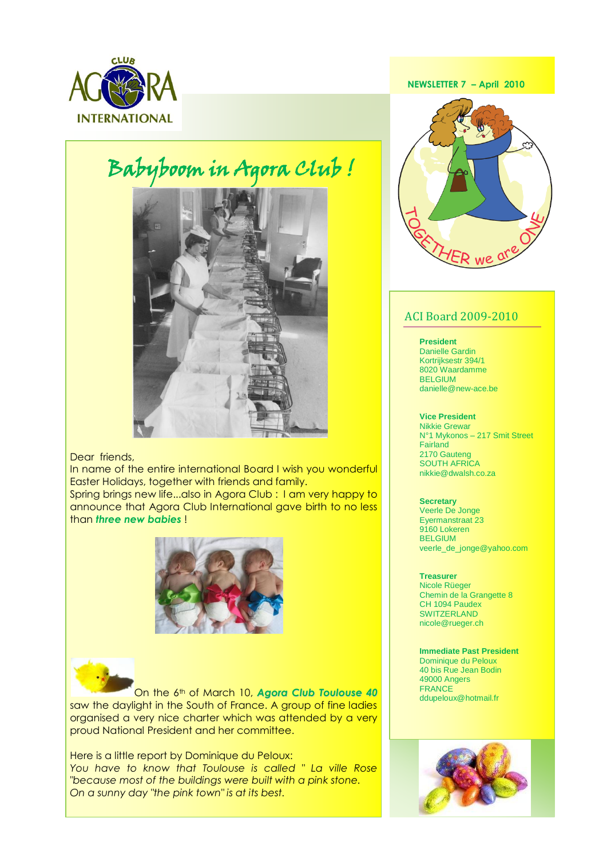

# Babyboom in Agora Club !



### Dear friends,

In name of the entire international Board I wish you wonderful Easter Holidays, together with friends and family.

Spring brings new life...also in Agora Club : I am very happy to announce that Agora Club International gave birth to no less than *three new babies* !





On the 6th of March 10, *Agora Club Toulouse 40* saw the daylight in the South of France. A group of fine ladies organised a very nice charter which was attended by a very proud National President and her committee.

 *You have to know that Toulouse is called " La ville Rose*  Here is a little report by Dominique du Peloux: *"because most of the buildings were built with a pink stone. On a sunny day "the pink town" is at its best.*

 **NEWSLETTER 7 – April 2010**



## ACI Board 2009-2010

#### **President**

Danielle Gardin Kortrijksestr 394/1 8020 Waardamme BELGIUM danielle@new-ace.be

#### **Vice President**

Nikkie Grewar N°1 Mykonos – 217 Smit Street **Fairland** 2170 Gauteng SOUTH AFRICA nikkie@dwalsh.co.za

#### **Secretary**

Veerle De Jonge Eyermanstraat 23 9160 Lokeren BELGIUM veerle\_de\_jonge@yahoo.com

#### **Treasurer**

Nicole Rüeger Chemin de la Grangette 8 CH 1094 Paudex **SWITZERLAND** nicole@rueger.ch

**Immediate Past President** Dominique du Peloux 40 bis Rue Jean Bodin 49000 Angers FRANCE ddupeloux@hotmail.fr

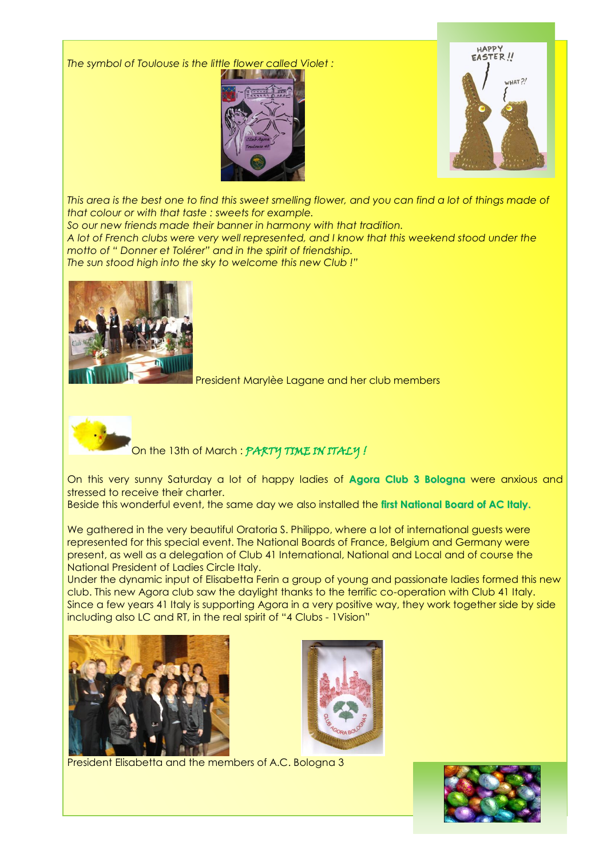*The symbol of Toulouse is the little flower called Violet :* 





*This area is the best one to find this sweet smelling flower, and you can find a lot of things made of that colour or with that taste : sweets for example.*

*So our new friends made their banner in harmony with that tradition.*

*A lot of French clubs were very well represented, and I know that this weekend stood under the motto of " Donner et Tolérer" and in the spirit of friendship.*

*The sun stood high into the sky to welcome this new Club !"*



President Marylèe Lagane and her club members



On the 13th of March : PARTY TIME IN ITALY !

On this very sunny Saturday a lot of happy ladies of **Agora Club 3 Bologna** were anxious and stressed to receive their charter.

Beside this wonderful event, the same day we also installed the **first National Board of AC Italy.**

We gathered in the very beautiful Oratoria S. Philippo, where a lot of international guests were represented for this special event. The National Boards of France, Belgium and Germany were present, as well as a delegation of Club 41 International, National and Local and of course the National President of Ladies Circle Italy.

Under the dynamic input of Elisabetta Ferin a group of young and passionate ladies formed this new club. This new Agora club saw the daylight thanks to the terrific co-operation with Club 41 Italy. Since a few years 41 Italy is supporting Agora in a very positive way, they work together side by side including also LC and RT, in the real spirit of "4 Clubs - 1Vision"





I President Elisabetta and the members of A.C. Bologna 3

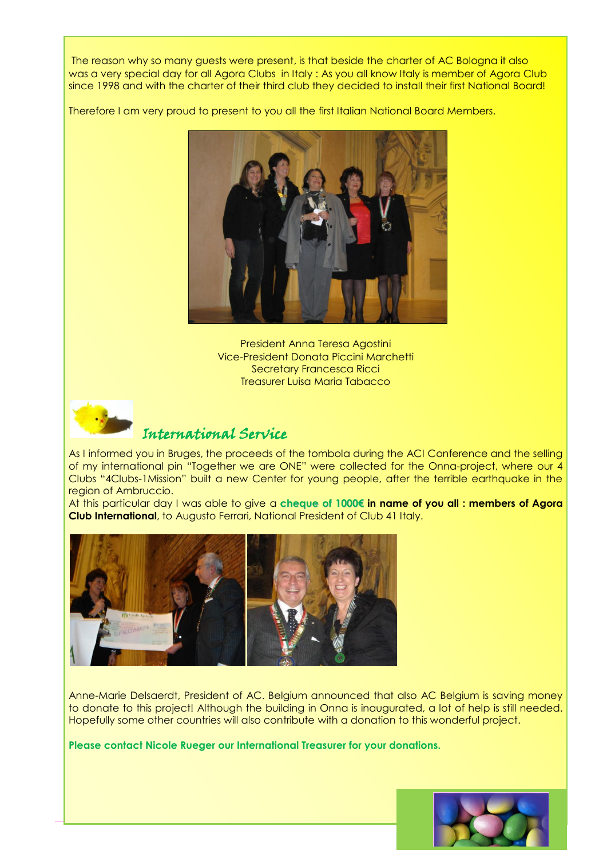The reason why so many guests were present, is that beside the charter of AC Bologna it also was a very special day for all Agora Clubs in Italy : As you all know Italy is member of Agora Club since 1998 and with the charter of their third club they decided to install their first National Board!

Therefore I am very proud to present to you all the first Italian National Board Members.



President Anna Teresa Agostini Vice-President Donata Piccini Marchetti Secretary Francesca Ricci Treasurer Luisa Maria Tabacco



# International Service

As I informed you in Bruges, the proceeds of the tombola during the ACI Conference and the selling of my international pin "Together we are ONE" were collected for the Onna-project, where our 4 Clubs "4Clubs-1Mission" built a new Center for young people, after the terrible earthquake in the region of Ambruccio.

At this particular day I was able to give a **cheque of 1000€ in name of you all : members of Agora Club International**, to Augusto Ferrari, National President of Club 41 Italy.



Anne-Marie Delsaerdt, President of AC. Belgium announced that also AC Belgium is saving money to donate to this project! Although the building in Onna is inaugurated, a lot of help is still needed. Hopefully some other countries will also contribute with a donation to this wonderful project.

**Please contact Nicole Rueger our International Treasurer for your donations.**

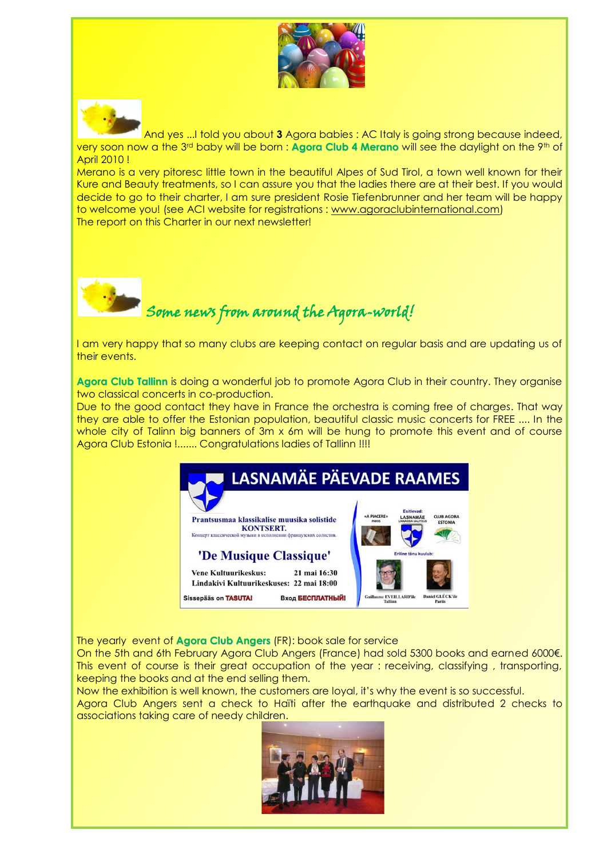



And yes ...I told you about **3** Agora babies : AC Italy is going strong because indeed, very soon now a the 3rd baby will be born : **Agora Club 4 Merano** will see the daylight on the 9th of April 2010 !

Merano is a very pitoresc little town in the beautiful Alpes of Sud Tirol, a town well known for their Kure and Beauty treatments, so I can assure you that the ladies there are at their best. If you would decide to go to their charter, I am sure president Rosie Tiefenbrunner and her team will be happy to welcome you! (see ACI website for registrations : [www.agoraclubinternational.com\)](http://www.agoraclubinternational.com/) The report on this Charter in our next newsletter!



Some news from around the Agora-world!

I am very happy that so many clubs are keeping contact on regular basis and are updating us of their events.

**Agora Club Tallinn** is doing a wonderful job to promote Agora Club in their country. They organise two classical concerts in co-production.

Due to the good contact they have in France the orchestra is coming free of charges. That way they are able to offer the Estonian population, beautiful classic music concerts for FREE .... In the whole city of Talinn big banners of 3m x 6m will be hung to promote this event and of course Agora Club Estonia !....... Congratulations ladies of Tallinn !!!!



The yearly event of **Agora Club Angers** (FR): book sale for service

On the 5th and 6th February Agora Club Angers (France) had sold 5300 books and earned 6000€. This event of course is their great occupation of the year : receiving, classifying , transporting, keeping the books and at the end selling them.

Now the exhibition is well known, the customers are loyal, it's why the event is so successful. Agora Club Angers sent a check to Haïti after the earthquake and distributed 2 checks to associations taking care of needy children.